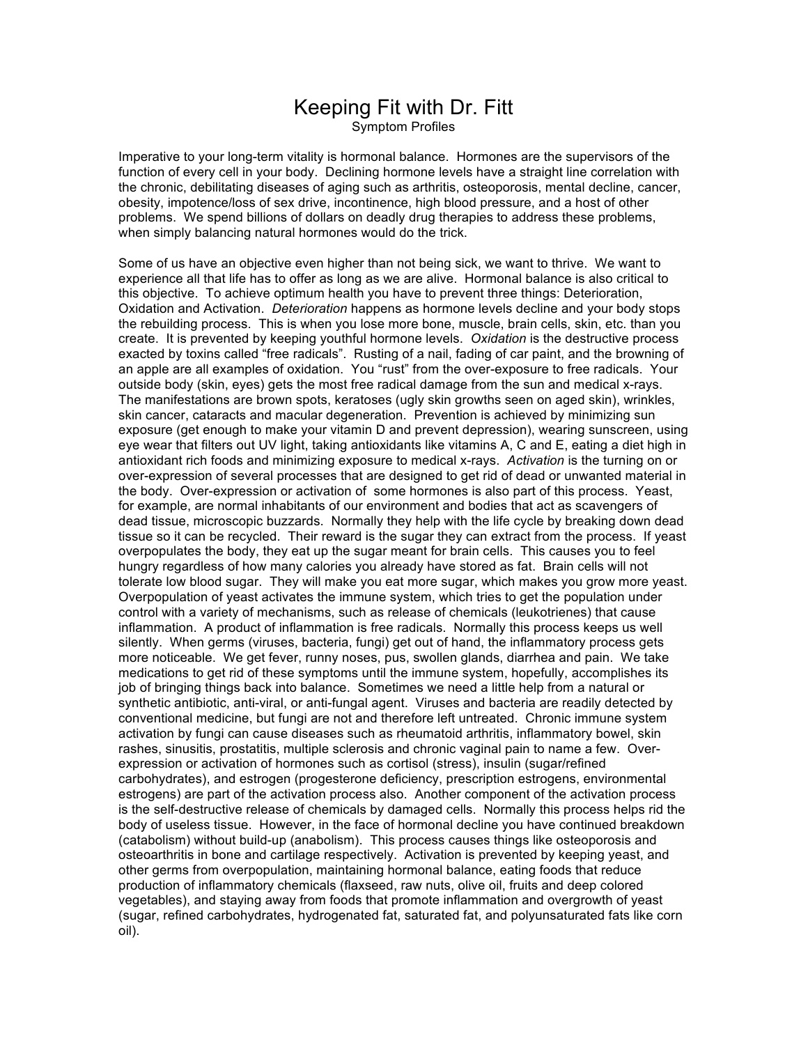### Keeping Fit with Dr. Fitt Symptom Profiles

Imperative to your long-term vitality is hormonal balance. Hormones are the supervisors of the function of every cell in your body. Declining hormone levels have a straight line correlation with the chronic, debilitating diseases of aging such as arthritis, osteoporosis, mental decline, cancer, obesity, impotence/loss of sex drive, incontinence, high blood pressure, and a host of other problems. We spend billions of dollars on deadly drug therapies to address these problems, when simply balancing natural hormones would do the trick.

Some of us have an objective even higher than not being sick, we want to thrive. We want to experience all that life has to offer as long as we are alive. Hormonal balance is also critical to this objective. To achieve optimum health you have to prevent three things: Deterioration, Oxidation and Activation. *Deterioration* happens as hormone levels decline and your body stops the rebuilding process. This is when you lose more bone, muscle, brain cells, skin, etc. than you create. It is prevented by keeping youthful hormone levels. *Oxidation* is the destructive process exacted by toxins called "free radicals". Rusting of a nail, fading of car paint, and the browning of an apple are all examples of oxidation. You "rust" from the over-exposure to free radicals. Your outside body (skin, eyes) gets the most free radical damage from the sun and medical x-rays. The manifestations are brown spots, keratoses (ugly skin growths seen on aged skin), wrinkles, skin cancer, cataracts and macular degeneration. Prevention is achieved by minimizing sun exposure (get enough to make your vitamin D and prevent depression), wearing sunscreen, using eye wear that filters out UV light, taking antioxidants like vitamins A, C and E, eating a diet high in antioxidant rich foods and minimizing exposure to medical x-rays. *Activation* is the turning on or over-expression of several processes that are designed to get rid of dead or unwanted material in the body. Over-expression or activation of some hormones is also part of this process. Yeast, for example, are normal inhabitants of our environment and bodies that act as scavengers of dead tissue, microscopic buzzards. Normally they help with the life cycle by breaking down dead tissue so it can be recycled. Their reward is the sugar they can extract from the process. If yeast overpopulates the body, they eat up the sugar meant for brain cells. This causes you to feel hungry regardless of how many calories you already have stored as fat. Brain cells will not tolerate low blood sugar. They will make you eat more sugar, which makes you grow more yeast. Overpopulation of yeast activates the immune system, which tries to get the population under control with a variety of mechanisms, such as release of chemicals (leukotrienes) that cause inflammation. A product of inflammation is free radicals. Normally this process keeps us well silently. When germs (viruses, bacteria, fungi) get out of hand, the inflammatory process gets more noticeable. We get fever, runny noses, pus, swollen glands, diarrhea and pain. We take medications to get rid of these symptoms until the immune system, hopefully, accomplishes its job of bringing things back into balance. Sometimes we need a little help from a natural or synthetic antibiotic, anti-viral, or anti-fungal agent. Viruses and bacteria are readily detected by conventional medicine, but fungi are not and therefore left untreated. Chronic immune system activation by fungi can cause diseases such as rheumatoid arthritis, inflammatory bowel, skin rashes, sinusitis, prostatitis, multiple sclerosis and chronic vaginal pain to name a few. Overexpression or activation of hormones such as cortisol (stress), insulin (sugar/refined carbohydrates), and estrogen (progesterone deficiency, prescription estrogens, environmental estrogens) are part of the activation process also. Another component of the activation process is the self-destructive release of chemicals by damaged cells. Normally this process helps rid the body of useless tissue. However, in the face of hormonal decline you have continued breakdown (catabolism) without build-up (anabolism). This process causes things like osteoporosis and osteoarthritis in bone and cartilage respectively. Activation is prevented by keeping yeast, and other germs from overpopulation, maintaining hormonal balance, eating foods that reduce production of inflammatory chemicals (flaxseed, raw nuts, olive oil, fruits and deep colored vegetables), and staying away from foods that promote inflammation and overgrowth of yeast (sugar, refined carbohydrates, hydrogenated fat, saturated fat, and polyunsaturated fats like corn oil).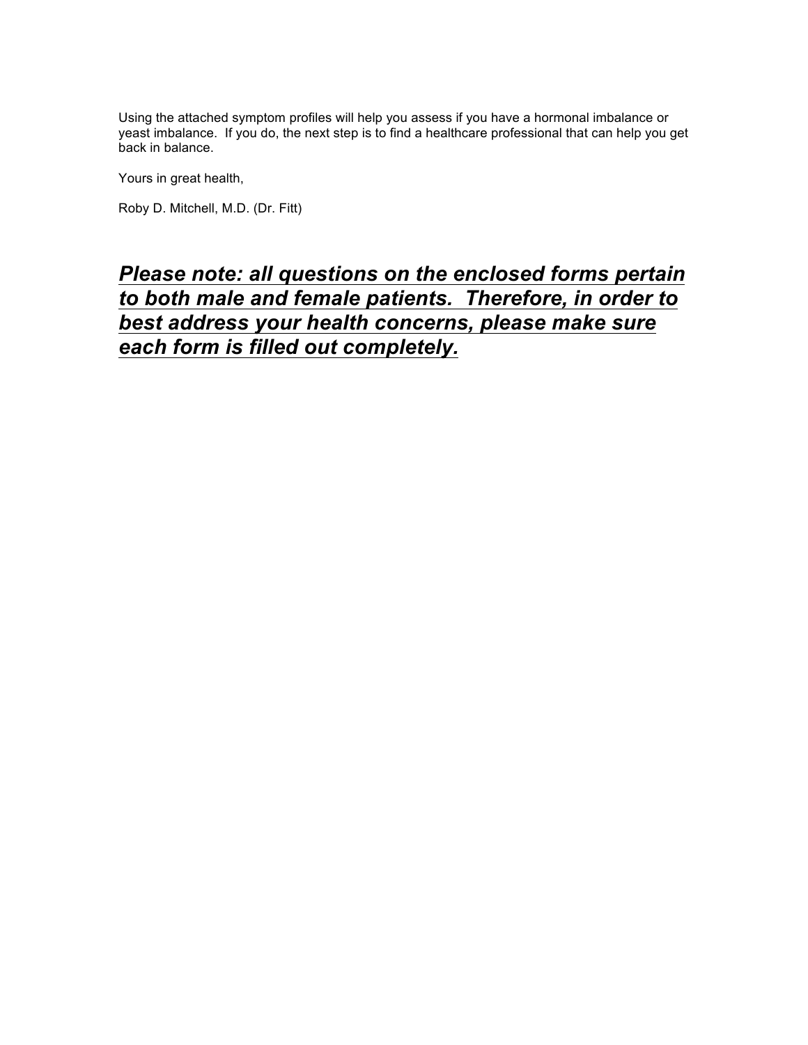Using the attached symptom profiles will help you assess if you have a hormonal imbalance or yeast imbalance. If you do, the next step is to find a healthcare professional that can help you get back in balance.

Yours in great health,

Roby D. Mitchell, M.D. (Dr. Fitt)

### *Please note: all questions on the enclosed forms pertain to both male and female patients. Therefore, in order to best address your health concerns, please make sure each form is filled out completely.*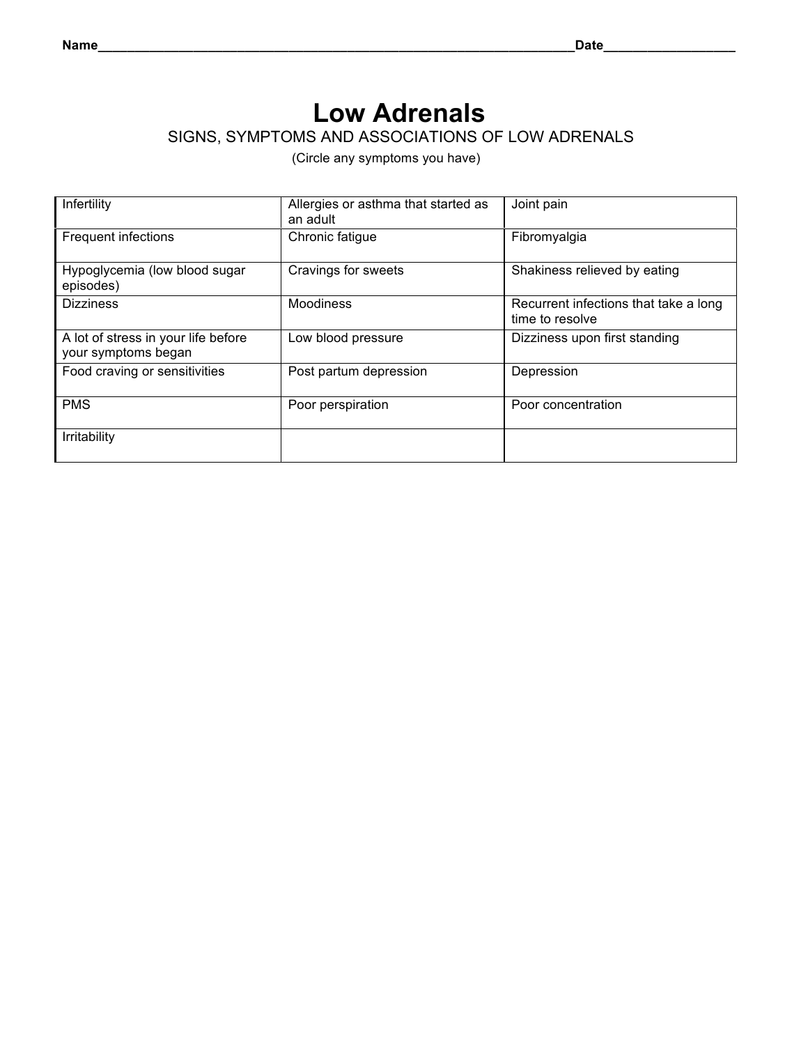### **Low Adrenals**SIGNS, SYMPTOMS AND ASSOCIATIONS OF LOW ADRENALS

| Infertility                                                | Allergies or asthma that started as<br>an adult | Joint pain                                               |
|------------------------------------------------------------|-------------------------------------------------|----------------------------------------------------------|
| <b>Frequent infections</b>                                 | Chronic fatigue                                 | Fibromyalgia                                             |
| Hypoglycemia (low blood sugar<br>episodes)                 | Cravings for sweets                             | Shakiness relieved by eating                             |
| <b>Dizziness</b>                                           | Moodiness                                       | Recurrent infections that take a long<br>time to resolve |
| A lot of stress in your life before<br>your symptoms began | Low blood pressure                              | Dizziness upon first standing                            |
| Food craving or sensitivities                              | Post partum depression                          | Depression                                               |
| <b>PMS</b>                                                 | Poor perspiration                               | Poor concentration                                       |
| Irritability                                               |                                                 |                                                          |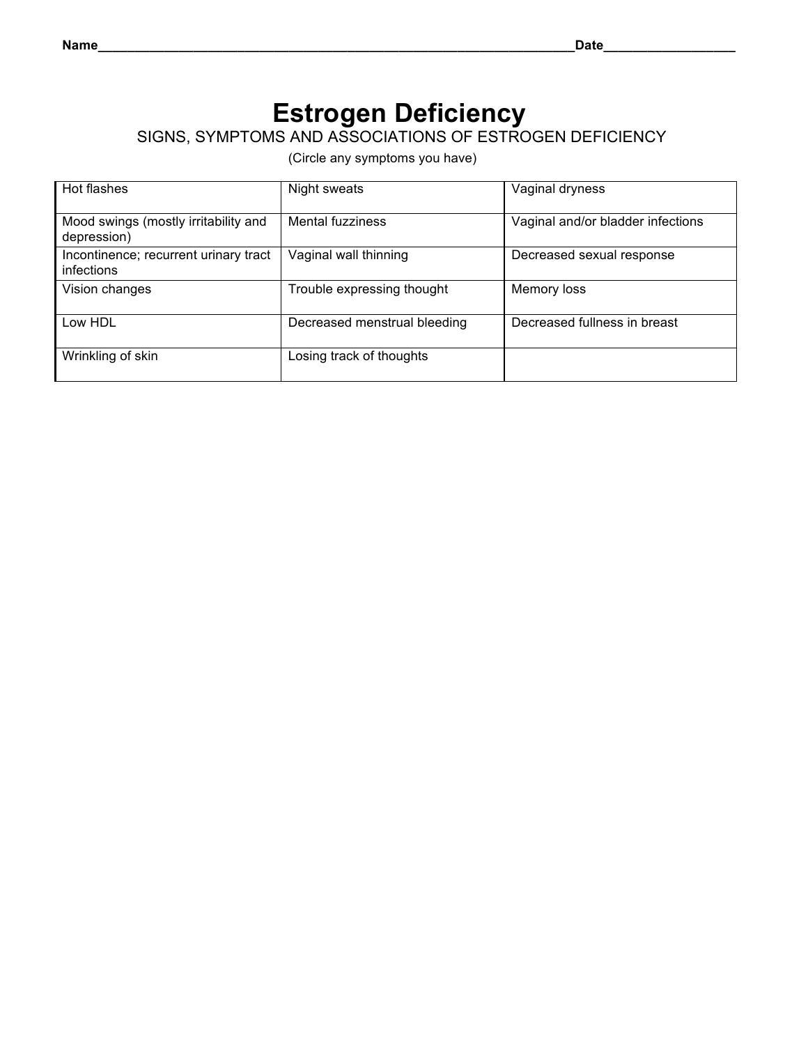### **Estrogen Deficiency**SIGNS, SYMPTOMS AND ASSOCIATIONS OF ESTROGEN DEFICIENCY

| Hot flashes                                         | Night sweats                 | Vaginal dryness                   |
|-----------------------------------------------------|------------------------------|-----------------------------------|
| Mood swings (mostly irritability and<br>depression) | Mental fuzziness             | Vaginal and/or bladder infections |
| Incontinence; recurrent urinary tract<br>infections | Vaginal wall thinning        | Decreased sexual response         |
| Vision changes                                      | Trouble expressing thought   | Memory loss                       |
| Low HDL                                             | Decreased menstrual bleeding | Decreased fullness in breast      |
| Wrinkling of skin                                   | Losing track of thoughts     |                                   |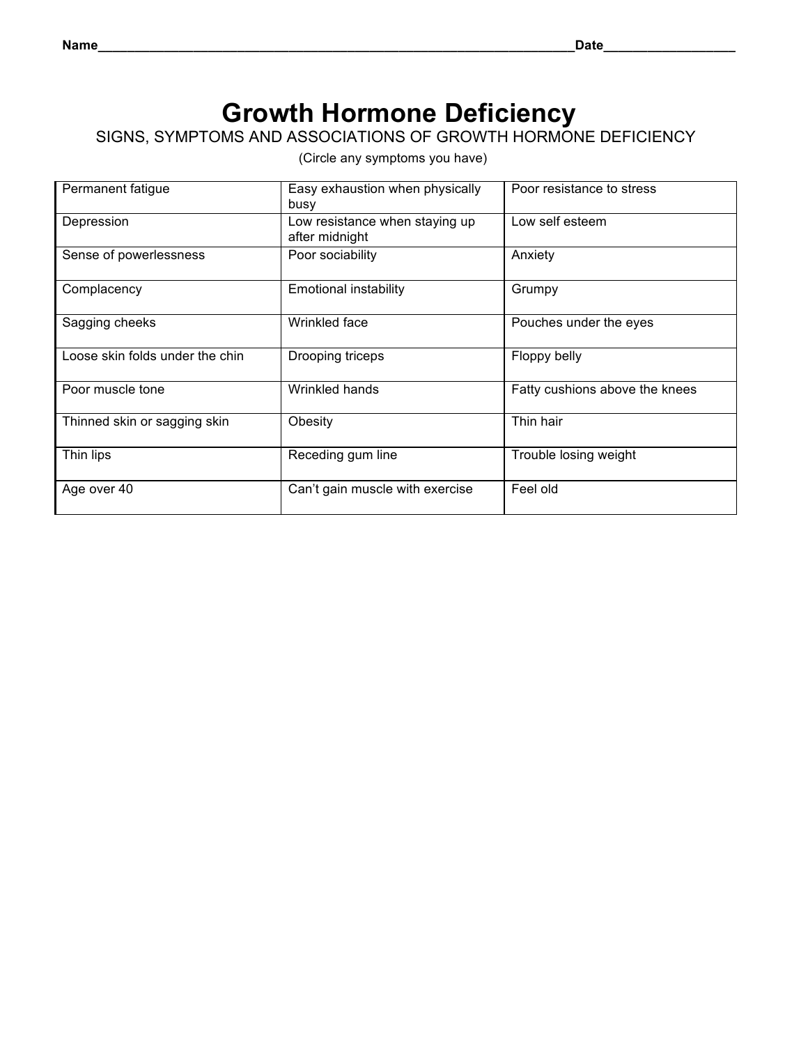### **Growth Hormone Deficiency**

#### SIGNS, SYMPTOMS AND ASSOCIATIONS OF GROWTH HORMONE DEFICIENCY

| Permanent fatigue               | Easy exhaustion when physically<br>busy          | Poor resistance to stress      |
|---------------------------------|--------------------------------------------------|--------------------------------|
| Depression                      | Low resistance when staying up<br>after midnight | Low self esteem                |
| Sense of powerlessness          | Poor sociability                                 | Anxiety                        |
| Complacency                     | <b>Emotional instability</b>                     | Grumpy                         |
| Sagging cheeks                  | Wrinkled face                                    | Pouches under the eyes         |
| Loose skin folds under the chin | Drooping triceps                                 | Floppy belly                   |
| Poor muscle tone                | Wrinkled hands                                   | Fatty cushions above the knees |
| Thinned skin or sagging skin    | Obesity                                          | Thin hair                      |
| Thin lips                       | Receding gum line                                | Trouble losing weight          |
| Age over 40                     | Can't gain muscle with exercise                  | Feel old                       |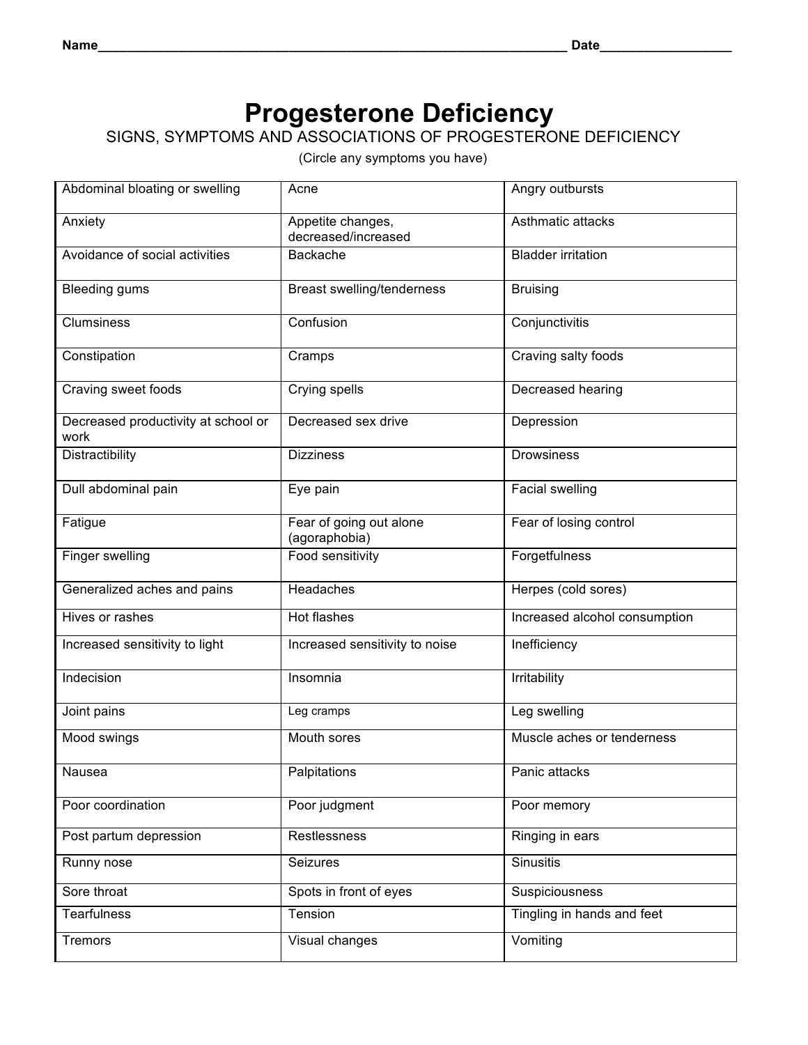# **Progesterone Deficiency**

### SIGNS, SYMPTOMS AND ASSOCIATIONS OF PROGESTERONE DEFICIENCY

| Abdominal bloating or swelling              | Acne                                     | Angry outbursts               |
|---------------------------------------------|------------------------------------------|-------------------------------|
| Anxiety                                     | Appetite changes,<br>decreased/increased | Asthmatic attacks             |
| Avoidance of social activities              | Backache                                 | <b>Bladder irritation</b>     |
| <b>Bleeding gums</b>                        | Breast swelling/tenderness               | <b>Bruising</b>               |
| <b>Clumsiness</b>                           | Confusion                                | Conjunctivitis                |
| Constipation                                | Cramps                                   | Craving salty foods           |
| Craving sweet foods                         | Crying spells                            | Decreased hearing             |
| Decreased productivity at school or<br>work | Decreased sex drive                      | Depression                    |
| Distractibility                             | <b>Dizziness</b>                         | <b>Drowsiness</b>             |
| Dull abdominal pain                         | Eye pain                                 | Facial swelling               |
| Fatigue                                     | Fear of going out alone<br>(agoraphobia) | Fear of losing control        |
| Finger swelling                             | Food sensitivity                         | Forgetfulness                 |
| Generalized aches and pains                 | Headaches                                | Herpes (cold sores)           |
| Hives or rashes                             | Hot flashes                              | Increased alcohol consumption |
| Increased sensitivity to light              | Increased sensitivity to noise           | Inefficiency                  |
| Indecision                                  | Insomnia                                 | Irritability                  |
| Joint pains                                 | Leg cramps                               | Leg swelling                  |
| Mood swings                                 | Mouth sores                              | Muscle aches or tenderness    |
| Nausea                                      | Palpitations                             | Panic attacks                 |
| Poor coordination                           | Poor judgment                            | Poor memory                   |
| Post partum depression                      | Restlessness                             | Ringing in ears               |
| Runny nose                                  | Seizures                                 | Sinusitis                     |
| Sore throat                                 | Spots in front of eyes                   | Suspiciousness                |
| <b>Tearfulness</b>                          | Tension                                  | Tingling in hands and feet    |
| <b>Tremors</b>                              | Visual changes                           | Vomiting                      |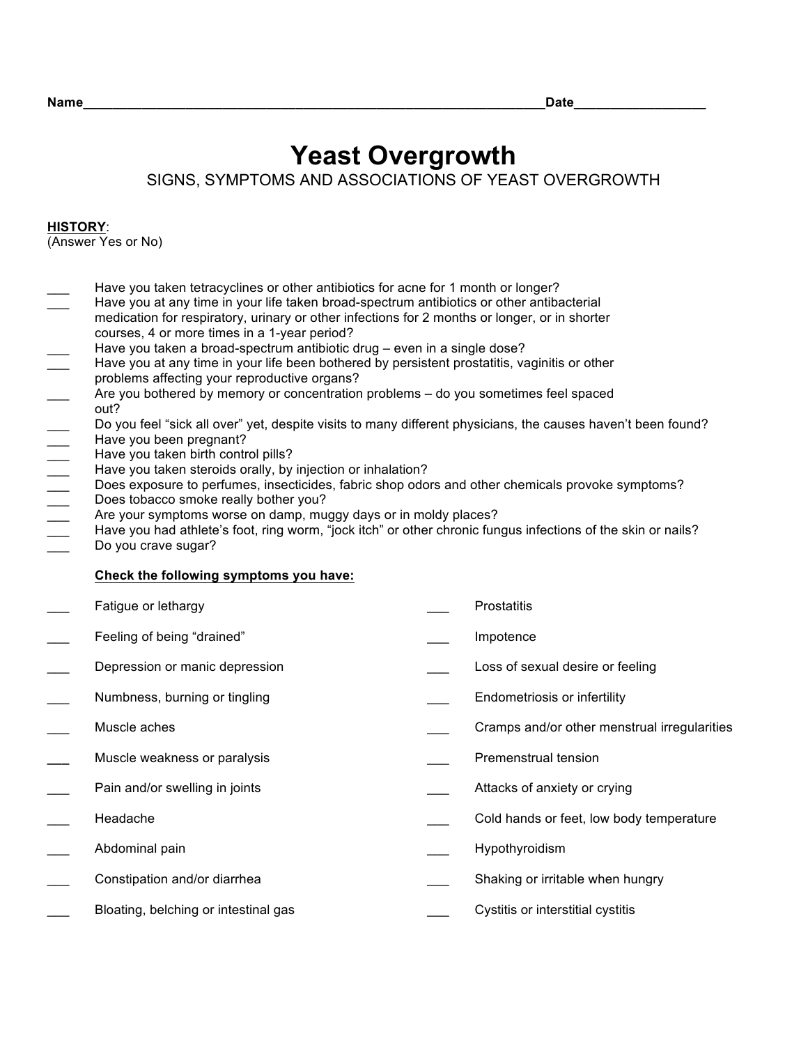# **Yeast Overgrowth**

SIGNS, SYMPTOMS AND ASSOCIATIONS OF YEAST OVERGROWTH

#### **HISTORY**:

(Answer Yes or No)

- Have you taken tetracyclines or other antibiotics for acne for 1 month or longer?
- Have you at any time in your life taken broad-spectrum antibiotics or other antibacterial medication for respiratory, urinary or other infections for 2 months or longer, or in shorter courses, 4 or more times in a 1-year period?
- 
- Have you at any time in your life been bothered by persistent prostatitis, vaginitis or other problems affecting your reproductive organs?
- Have you taken a broad-spectrum antibiotic drug even in a single dose?<br>
Have you at any time in your life been bothered by persistent prostatitis, va<br>
problems affecting your reproductive organs?<br>
Are you bothered by mem Are you bothered by memory or concentration problems – do you sometimes feel spaced out?
- Do you feel "sick all over" yet, despite visits to many different physicians, the causes haven't been found? Have you been pregnant?
- Have you taken birth control pills?
- Have you taken steroids orally, by injection or inhalation?
- Does exposure to perfumes, insecticides, fabric shop odors and other chemicals provoke symptoms?
- Does tobacco smoke really bother you?
- Are your symptoms worse on damp, muggy days or in moldy places?
- Have you had athlete's foot, ring worm, "jock itch" or other chronic fungus infections of the skin or nails? Do you crave sugar?
- 

#### **Check the following symptoms you have:**

| Fatigue or lethargy                  | Prostatitis                                  |
|--------------------------------------|----------------------------------------------|
| Feeling of being "drained"           | Impotence                                    |
| Depression or manic depression       | Loss of sexual desire or feeling             |
| Numbness, burning or tingling        | Endometriosis or infertility                 |
| Muscle aches                         | Cramps and/or other menstrual irregularities |
| Muscle weakness or paralysis         | Premenstrual tension                         |
| Pain and/or swelling in joints       | Attacks of anxiety or crying                 |
| Headache                             | Cold hands or feet, low body temperature     |
| Abdominal pain                       | Hypothyroidism                               |
| Constipation and/or diarrhea         | Shaking or irritable when hungry             |
| Bloating, belching or intestinal gas | Cystitis or interstitial cystitis            |
|                                      |                                              |

**Name**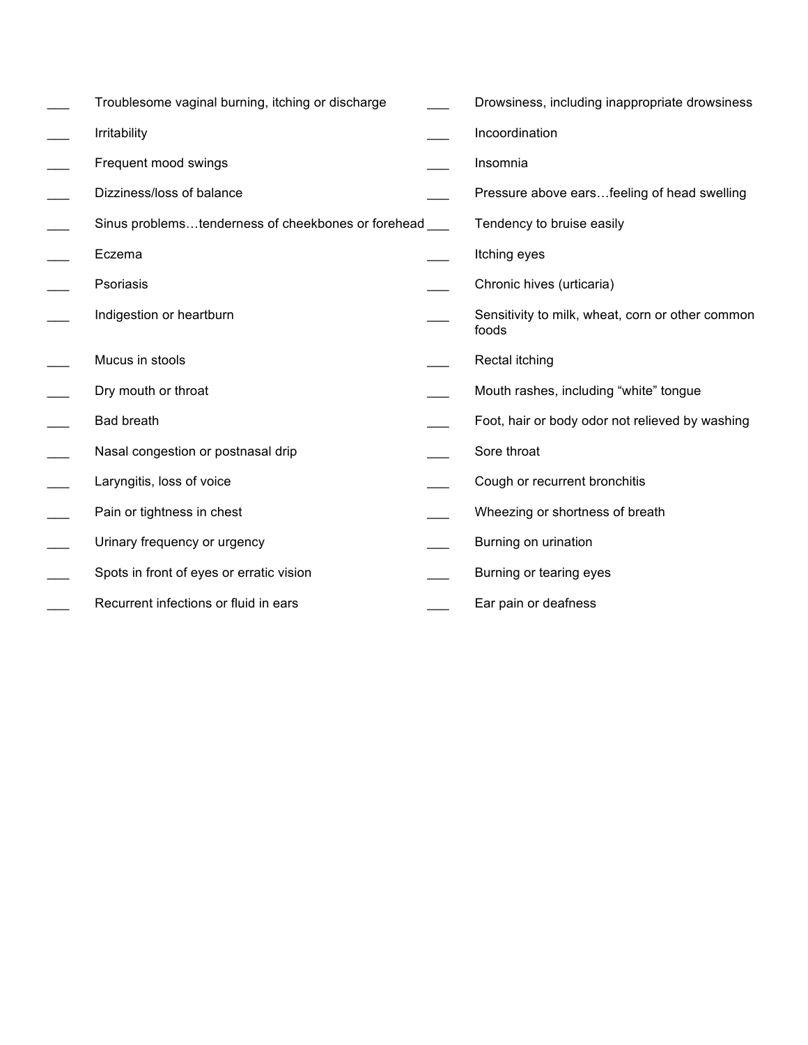| Troublesome vaginal burning, itching or discharge  | Drowsiness, including inappropriate drowsiness            |
|----------------------------------------------------|-----------------------------------------------------------|
| <b>Irritability</b>                                | Incoordination                                            |
| Frequent mood swings                               | Insomnia                                                  |
| Dizziness/loss of balance                          | Pressure above earsfeeling of head swelling               |
| Sinus problemstenderness of cheekbones or forehead | Tendency to bruise easily                                 |
| Eczema                                             | Itching eyes                                              |
| Psoriasis                                          | Chronic hives (urticaria)                                 |
| Indigestion or heartburn                           | Sensitivity to milk, wheat, corn or other common<br>foods |
| Mucus in stools                                    | Rectal itching                                            |
| Dry mouth or throat                                | Mouth rashes, including "white" tongue                    |
| <b>Bad breath</b>                                  | Foot, hair or body odor not relieved by washing           |
| Nasal congestion or postnasal drip                 | Sore throat                                               |
| Laryngitis, loss of voice                          | Cough or recurrent bronchitis                             |
| Pain or tightness in chest                         | Wheezing or shortness of breath                           |
| Urinary frequency or urgency                       | Burning on urination                                      |
| Spots in front of eyes or erratic vision           | Burning or tearing eyes                                   |
| Recurrent infections or fluid in ears              | Ear pain or deafness                                      |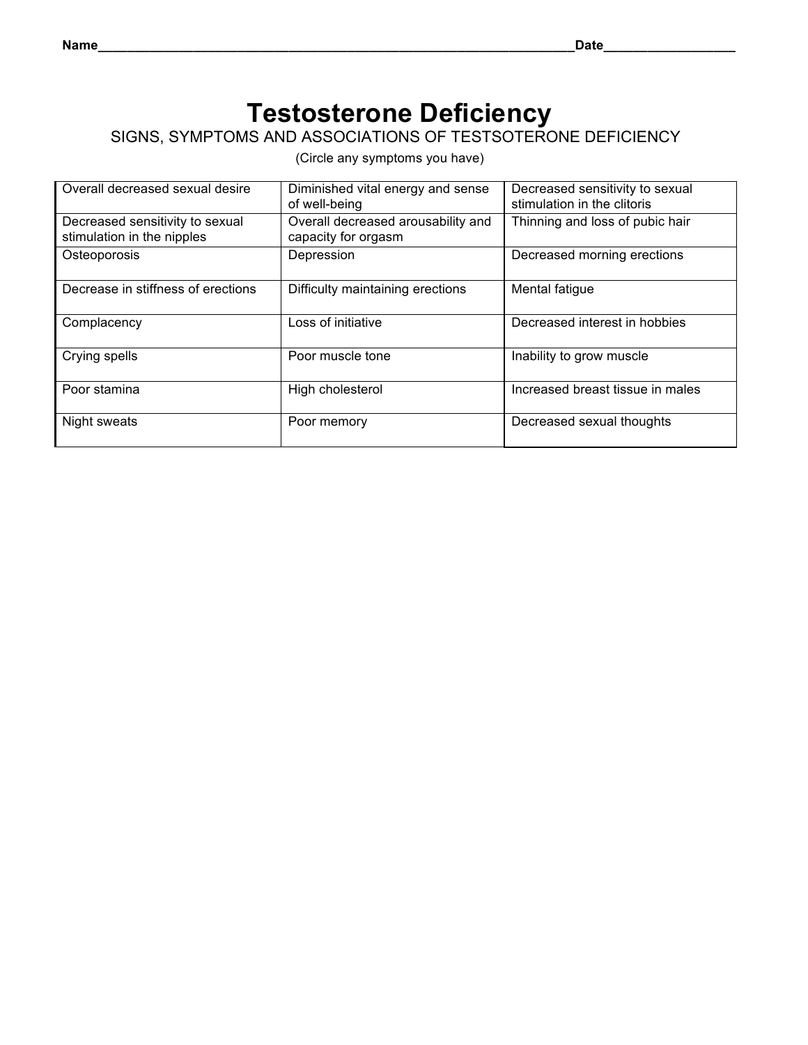## **Testosterone Deficiency**

SIGNS, SYMPTOMS AND ASSOCIATIONS OF TESTSOTERONE DEFICIENCY

| Overall decreased sexual desire                               | Diminished vital energy and sense<br>of well-being        | Decreased sensitivity to sexual<br>stimulation in the clitoris |
|---------------------------------------------------------------|-----------------------------------------------------------|----------------------------------------------------------------|
| Decreased sensitivity to sexual<br>stimulation in the nipples | Overall decreased arousability and<br>capacity for orgasm | Thinning and loss of pubic hair                                |
| Osteoporosis                                                  | Depression                                                | Decreased morning erections                                    |
| Decrease in stiffness of erections                            | Difficulty maintaining erections                          | Mental fatigue                                                 |
| Complacency                                                   | Loss of initiative                                        | Decreased interest in hobbies                                  |
| Crying spells                                                 | Poor muscle tone                                          | Inability to grow muscle                                       |
| Poor stamina                                                  | High cholesterol                                          | Increased breast tissue in males                               |
| Night sweats                                                  | Poor memory                                               | Decreased sexual thoughts                                      |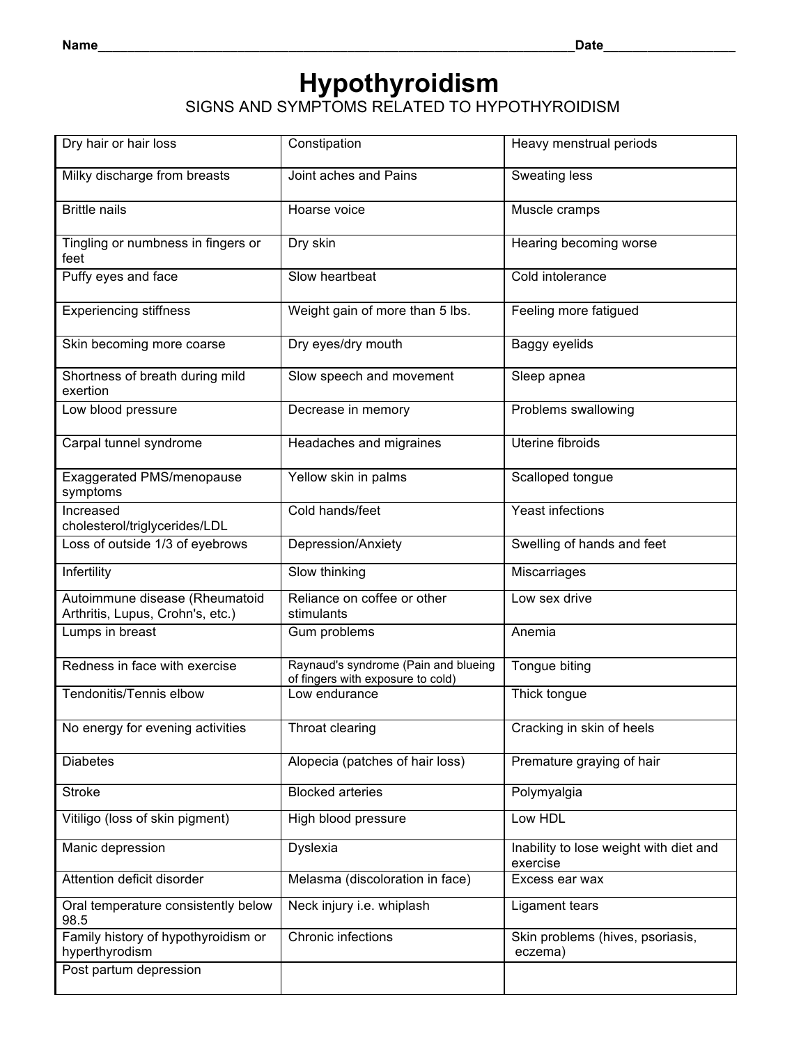# **Hypothyroidism**

SIGNS AND SYMPTOMS RELATED TO HYPOTHYROIDISM

| Dry hair or hair loss                                              | Constipation                                                              | Heavy menstrual periods                            |
|--------------------------------------------------------------------|---------------------------------------------------------------------------|----------------------------------------------------|
| Milky discharge from breasts                                       | Joint aches and Pains                                                     | Sweating less                                      |
| <b>Brittle nails</b>                                               | Hoarse voice                                                              | Muscle cramps                                      |
| Tingling or numbness in fingers or<br>feet                         | Dry skin                                                                  | Hearing becoming worse                             |
| Puffy eyes and face                                                | Slow heartbeat                                                            | Cold intolerance                                   |
| <b>Experiencing stiffness</b>                                      | Weight gain of more than 5 lbs.                                           | Feeling more fatigued                              |
| Skin becoming more coarse                                          | Dry eyes/dry mouth                                                        | Baggy eyelids                                      |
| Shortness of breath during mild<br>exertion                        | Slow speech and movement                                                  | Sleep apnea                                        |
| Low blood pressure                                                 | Decrease in memory                                                        | Problems swallowing                                |
| Carpal tunnel syndrome                                             | Headaches and migraines                                                   | Uterine fibroids                                   |
| Exaggerated PMS/menopause<br>symptoms                              | Yellow skin in palms                                                      | Scalloped tongue                                   |
| Increased<br>cholesterol/triglycerides/LDL                         | Cold hands/feet                                                           | Yeast infections                                   |
| Loss of outside 1/3 of eyebrows                                    | Depression/Anxiety                                                        | Swelling of hands and feet                         |
| Infertility                                                        | Slow thinking                                                             | Miscarriages                                       |
| Autoimmune disease (Rheumatoid<br>Arthritis, Lupus, Crohn's, etc.) | Reliance on coffee or other<br>stimulants                                 | Low sex drive                                      |
| Lumps in breast                                                    | Gum problems                                                              | Anemia                                             |
| Redness in face with exercise                                      | Raynaud's syndrome (Pain and blueing<br>of fingers with exposure to cold) | Tongue biting                                      |
| Tendonitis/Tennis elbow                                            | Low endurance                                                             | Thick tongue                                       |
| No energy for evening activities                                   | Throat clearing                                                           | Cracking in skin of heels                          |
| <b>Diabetes</b>                                                    | Alopecia (patches of hair loss)                                           | Premature graying of hair                          |
| <b>Stroke</b>                                                      | <b>Blocked arteries</b>                                                   | Polymyalgia                                        |
| Vitiligo (loss of skin pigment)                                    | High blood pressure                                                       | Low HDL                                            |
| Manic depression                                                   | Dyslexia                                                                  | Inability to lose weight with diet and<br>exercise |
| Attention deficit disorder                                         | Melasma (discoloration in face)                                           | Excess ear wax                                     |
| Oral temperature consistently below<br>98.5                        | Neck injury i.e. whiplash                                                 | Ligament tears                                     |
| Family history of hypothyroidism or<br>hyperthyrodism              | Chronic infections                                                        | Skin problems (hives, psoriasis,<br>eczema)        |
| Post partum depression                                             |                                                                           |                                                    |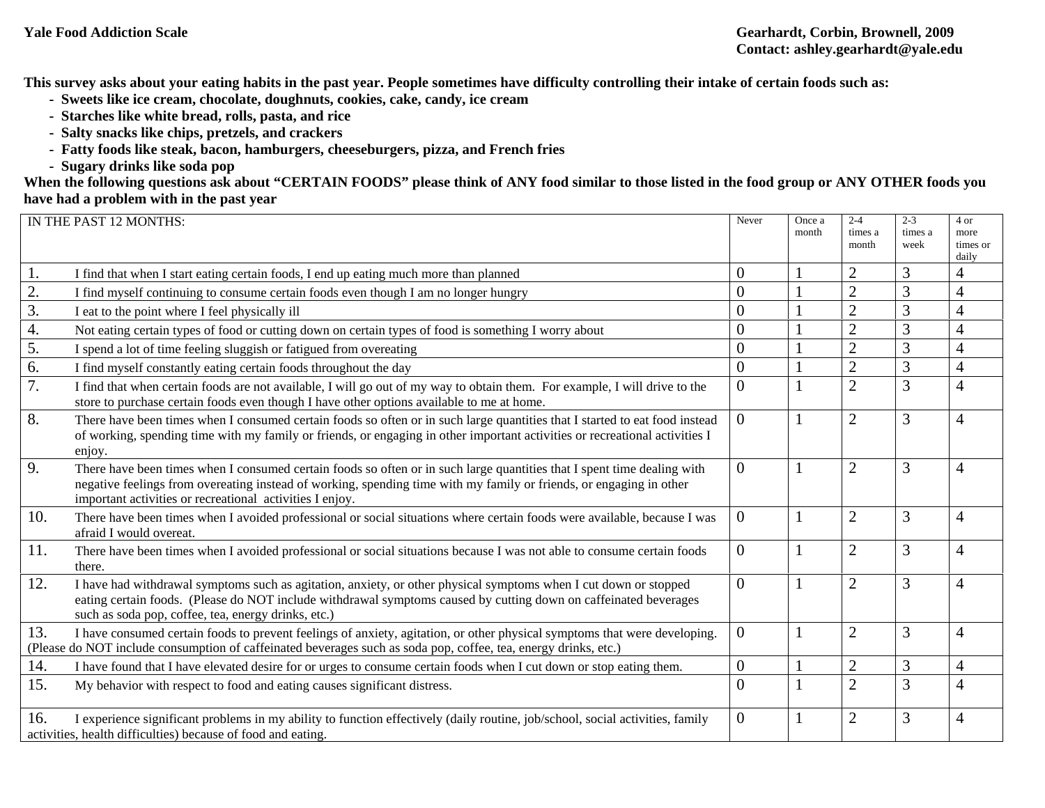**This survey asks about your eating habits in the past year. People sometimes have difficulty controlling their intake of certain foods such as:** 

- **Sweets like ice cream, chocolate, doughnuts, cookies, cake, candy, ice cream**
- **Starches like white bread, rolls, pasta, and rice**
- **Salty snacks like chips, pretzels, and crackers**
- **Fatty foods like steak, bacon, hamburgers, cheeseburgers, pizza, and French fries**
- **Sugary drinks like soda pop**

**When the following questions ask about "CERTAIN FOODS" please think of ANY food similar to those listed in the food group or ANY OTHER foods you have had a problem with in the past year**

|     | IN THE PAST 12 MONTHS:                                                                                                                                                                                                                                                                                     | Never          | Once a<br>month | $2 - 4$<br>times a<br>month | $2 - 3$<br>times a<br>week | 4 or<br>more<br>times or<br>daily |
|-----|------------------------------------------------------------------------------------------------------------------------------------------------------------------------------------------------------------------------------------------------------------------------------------------------------------|----------------|-----------------|-----------------------------|----------------------------|-----------------------------------|
| 1.  | I find that when I start eating certain foods, I end up eating much more than planned                                                                                                                                                                                                                      | $\theta$       |                 | $\overline{2}$              | 3                          | 4                                 |
| 2.  | I find myself continuing to consume certain foods even though I am no longer hungry                                                                                                                                                                                                                        | $\overline{0}$ |                 | $\overline{2}$              | 3                          | 4                                 |
| 3.  | I eat to the point where I feel physically ill                                                                                                                                                                                                                                                             | $\overline{0}$ |                 | $\overline{2}$              | 3                          |                                   |
| 4.  | Not eating certain types of food or cutting down on certain types of food is something I worry about                                                                                                                                                                                                       | $\overline{0}$ |                 | $\overline{2}$              | 3                          | 4                                 |
| 5.  | I spend a lot of time feeling sluggish or fatigued from overeating                                                                                                                                                                                                                                         | $\overline{0}$ |                 | $\overline{2}$              | 3                          | 4                                 |
| 6.  | I find myself constantly eating certain foods throughout the day                                                                                                                                                                                                                                           | $\theta$       |                 | $\overline{2}$              | 3                          | $\overline{4}$                    |
| 7.  | I find that when certain foods are not available, I will go out of my way to obtain them. For example, I will drive to the<br>store to purchase certain foods even though I have other options available to me at home.                                                                                    | $\overline{0}$ |                 | $\overline{2}$              | 3                          | 4                                 |
| 8.  | There have been times when I consumed certain foods so often or in such large quantities that I started to eat food instead<br>of working, spending time with my family or friends, or engaging in other important activities or recreational activities I<br>enjoy.                                       | $\overline{0}$ |                 | $\overline{2}$              | 3                          |                                   |
| 9.  | There have been times when I consumed certain foods so often or in such large quantities that I spent time dealing with<br>negative feelings from overeating instead of working, spending time with my family or friends, or engaging in other<br>important activities or recreational activities I enjoy. | $\theta$       |                 | $\overline{2}$              | 3                          | 4                                 |
| 10. | There have been times when I avoided professional or social situations where certain foods were available, because I was<br>afraid I would overeat.                                                                                                                                                        | $\overline{0}$ |                 | $\overline{2}$              | 3                          | 4                                 |
| 11. | There have been times when I avoided professional or social situations because I was not able to consume certain foods<br>there.                                                                                                                                                                           | $\overline{0}$ |                 | $\overline{2}$              | 3                          | 4                                 |
| 12. | I have had withdrawal symptoms such as agitation, anxiety, or other physical symptoms when I cut down or stopped<br>eating certain foods. (Please do NOT include withdrawal symptoms caused by cutting down on caffeinated beverages<br>such as soda pop, coffee, tea, energy drinks, etc.)                | $\theta$       |                 | $\overline{2}$              | 3                          | 4                                 |
| 13. | I have consumed certain foods to prevent feelings of anxiety, agitation, or other physical symptoms that were developing.<br>(Please do NOT include consumption of caffeinated beverages such as soda pop, coffee, tea, energy drinks, etc.)                                                               | $\theta$       |                 | $\overline{2}$              | 3                          | 4                                 |
| 14. | I have found that I have elevated desire for or urges to consume certain foods when I cut down or stop eating them.                                                                                                                                                                                        | $\overline{0}$ |                 | $\overline{2}$              | 3                          | 4                                 |
| 15. | My behavior with respect to food and eating causes significant distress.                                                                                                                                                                                                                                   | $\theta$       |                 | $\overline{2}$              | 3                          | 4                                 |
| 16. | I experience significant problems in my ability to function effectively (daily routine, job/school, social activities, family<br>activities, health difficulties) because of food and eating.                                                                                                              | $\overline{0}$ |                 | $\overline{2}$              | 3                          | 4                                 |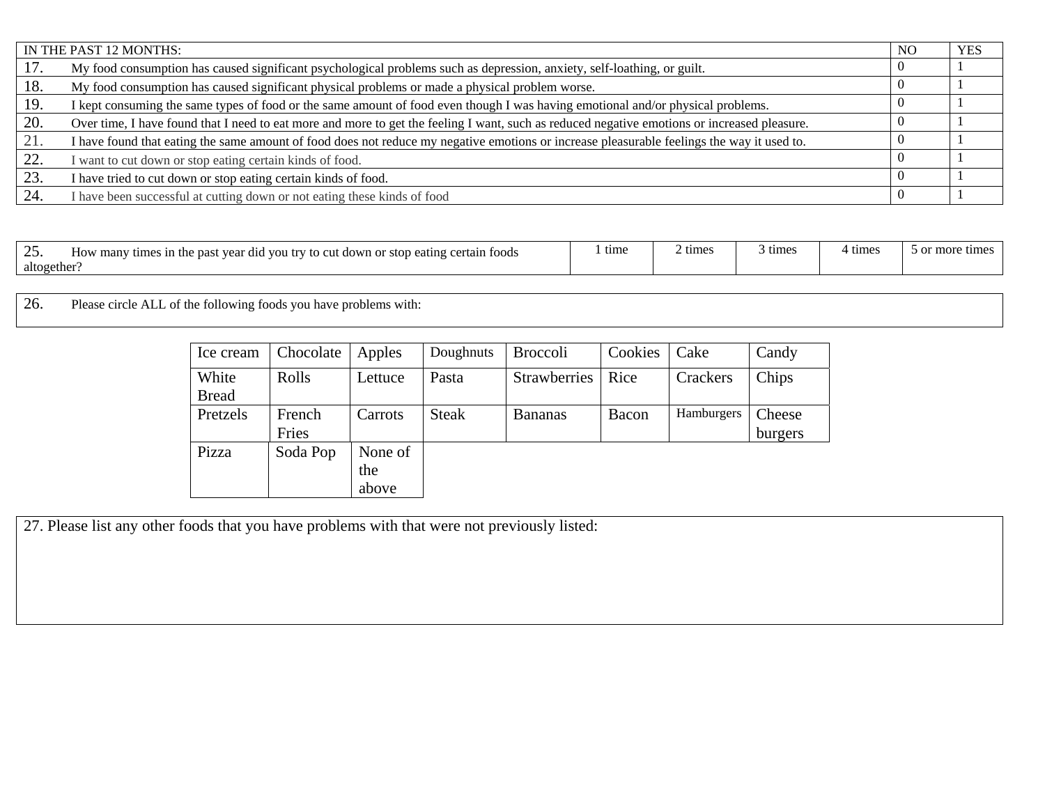|     | IN THE PAST 12 MONTHS:                                                                                                                       | NO <sub>1</sub> | <b>YES</b> |
|-----|----------------------------------------------------------------------------------------------------------------------------------------------|-----------------|------------|
|     | My food consumption has caused significant psychological problems such as depression, anxiety, self-loathing, or guilt.                      |                 |            |
| 18. | My food consumption has caused significant physical problems or made a physical problem worse.                                               |                 |            |
| 19. | I kept consuming the same types of food or the same amount of food even though I was having emotional and/or physical problems.              |                 |            |
| 20. | Over time, I have found that I need to eat more and more to get the feeling I want, such as reduced negative emotions or increased pleasure. |                 |            |
| 21. | I have found that eating the same amount of food does not reduce my negative emotions or increase pleasurable feelings the way it used to.   |                 |            |
| 22. | want to cut down or stop eating certain kinds of food.                                                                                       |                 |            |
| 23. | I have tried to cut down or stop eating certain kinds of food.                                                                               |                 |            |
| 24. | I have been successful at cutting down or not eating these kinds of food                                                                     |                 |            |

| $\overline{\phantom{m}}$ | $t_{1}$ ma<br>4.4 VOU try to<br>$\sim$<br>How many<br>pas<br>eertain foods!<br>-in the<br>vear did<br>. down or<br>eating<br>-stop | time | times | times | times | $\cdots$<br>e time.<br>$\sim$ r |
|--------------------------|------------------------------------------------------------------------------------------------------------------------------------|------|-------|-------|-------|---------------------------------|
| altogether               |                                                                                                                                    |      |       |       |       |                                 |

26.Please circle ALL of the following foods you have problems with:

| Ice cream             | Chocolate       | Apples                  | Doughnuts    | <b>Broccoli</b>     | Cookies | Cake       | Candy             |
|-----------------------|-----------------|-------------------------|--------------|---------------------|---------|------------|-------------------|
| White<br><b>Bread</b> | Rolls           | Lettuce                 | Pasta        | <b>Strawberries</b> | Rice    | Crackers   | Chips             |
| Pretzels              | French<br>Fries | Carrots                 | <b>Steak</b> | <b>Bananas</b>      | Bacon   | Hamburgers | Cheese<br>burgers |
| Pizza                 | Soda Pop        | None of<br>the<br>above |              |                     |         |            |                   |

27. Please list any other foods that you have problems with that were not previously listed: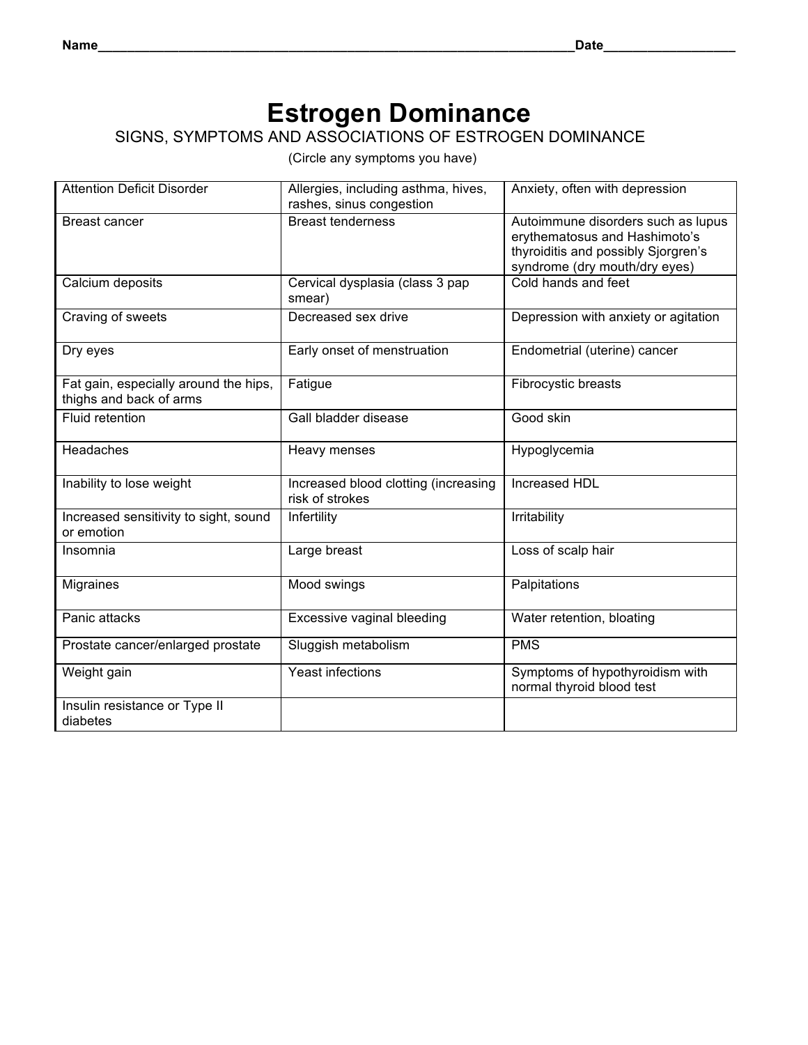# **Estrogen Dominance**

### SIGNS, SYMPTOMS AND ASSOCIATIONS OF ESTROGEN DOMINANCE

| <b>Attention Deficit Disorder</b>                                | Allergies, including asthma, hives,<br>rashes, sinus congestion | Anxiety, often with depression                                                                                                              |
|------------------------------------------------------------------|-----------------------------------------------------------------|---------------------------------------------------------------------------------------------------------------------------------------------|
| <b>Breast cancer</b>                                             | <b>Breast tenderness</b>                                        | Autoimmune disorders such as lupus<br>erythematosus and Hashimoto's<br>thyroiditis and possibly Sjorgren's<br>syndrome (dry mouth/dry eyes) |
| Calcium deposits                                                 | Cervical dysplasia (class 3 pap<br>smear)                       | Cold hands and feet                                                                                                                         |
| Craving of sweets                                                | Decreased sex drive                                             | Depression with anxiety or agitation                                                                                                        |
| Dry eyes                                                         | Early onset of menstruation                                     | Endometrial (uterine) cancer                                                                                                                |
| Fat gain, especially around the hips,<br>thighs and back of arms | Fatigue                                                         | Fibrocystic breasts                                                                                                                         |
| Fluid retention                                                  | Gall bladder disease                                            | Good skin                                                                                                                                   |
| Headaches                                                        | Heavy menses                                                    | Hypoglycemia                                                                                                                                |
| Inability to lose weight                                         | Increased blood clotting (increasing<br>risk of strokes         | Increased HDL                                                                                                                               |
| Increased sensitivity to sight, sound<br>or emotion              | Infertility                                                     | Irritability                                                                                                                                |
| Insomnia                                                         | Large breast                                                    | Loss of scalp hair                                                                                                                          |
| Migraines                                                        | Mood swings                                                     | Palpitations                                                                                                                                |
| Panic attacks                                                    | Excessive vaginal bleeding                                      | Water retention, bloating                                                                                                                   |
| Prostate cancer/enlarged prostate                                | Sluggish metabolism                                             | <b>PMS</b>                                                                                                                                  |
| Weight gain                                                      | Yeast infections                                                | Symptoms of hypothyroidism with<br>normal thyroid blood test                                                                                |
| Insulin resistance or Type II<br>diabetes                        |                                                                 |                                                                                                                                             |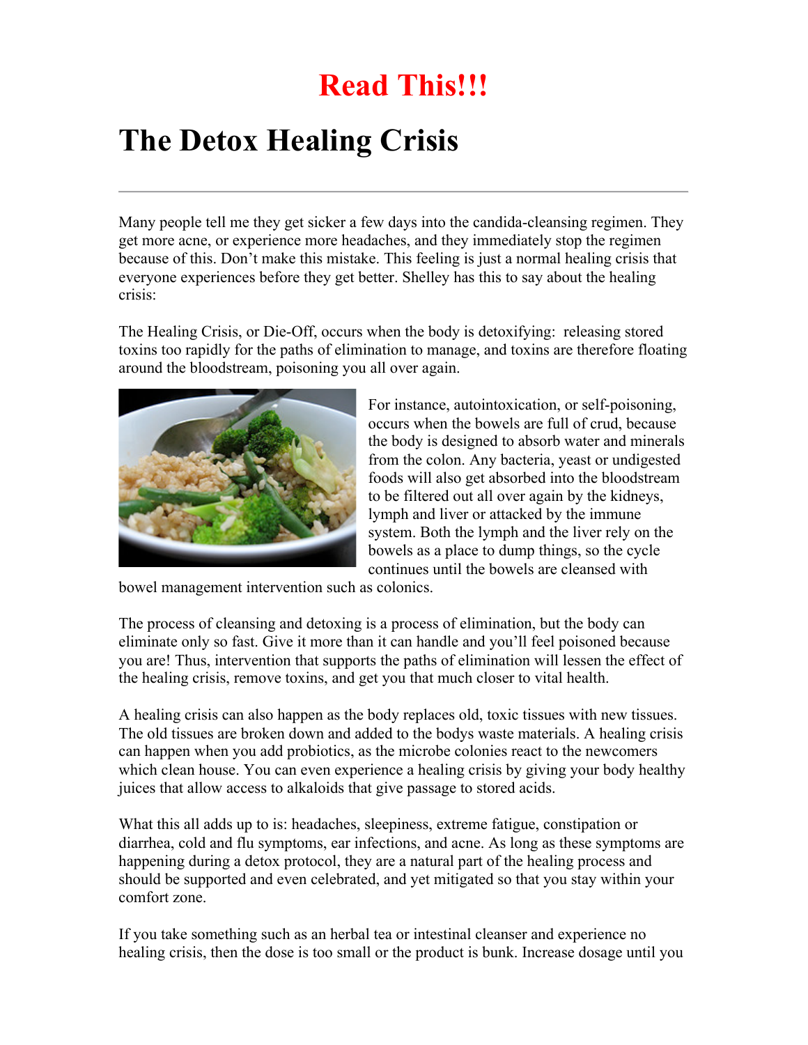# **Read This!!!**

# **The Detox Healing Crisis**

Many people tell me they get sicker a few days into the candida-cleansing regimen. They get more acne, or experience more headaches, and they immediately stop the regimen because of this. Don't make this mistake. This feeling is just a normal healing crisis that everyone experiences before they get better. Shelley has this to say about the healing crisis:

The Healing Crisis, or Die-Off, occurs when the body is detoxifying: releasing stored toxins too rapidly for the paths of elimination to manage, and toxins are therefore floating around the bloodstream, poisoning you all over again.



For instance, autointoxication, or self-poisoning, occurs when the bowels are full of crud, because the body is designed to absorb water and minerals from the colon. Any bacteria, yeast or undigested foods will also get absorbed into the bloodstream to be filtered out all over again by the kidneys, lymph and liver or attacked by the immune system. Both the lymph and the liver rely on the bowels as a place to dump things, so the cycle continues until the bowels are cleansed with

bowel management intervention such as colonics.

The process of cleansing and detoxing is a process of elimination, but the body can eliminate only so fast. Give it more than it can handle and you'll feel poisoned because you are! Thus, intervention that supports the paths of elimination will lessen the effect of the healing crisis, remove toxins, and get you that much closer to vital health.

A healing crisis can also happen as the body replaces old, toxic tissues with new tissues. The old tissues are broken down and added to the bodys waste materials. A healing crisis can happen when you add probiotics, as the microbe colonies react to the newcomers which clean house. You can even experience a healing crisis by giving your body healthy juices that allow access to alkaloids that give passage to stored acids.

What this all adds up to is: headaches, sleepiness, extreme fatigue, constipation or diarrhea, cold and flu symptoms, ear infections, and acne. As long as these symptoms are happening during a detox protocol, they are a natural part of the healing process and should be supported and even celebrated, and yet mitigated so that you stay within your comfort zone.

If you take something such as an herbal tea or intestinal cleanser and experience no healing crisis, then the dose is too small or the product is bunk. Increase dosage until you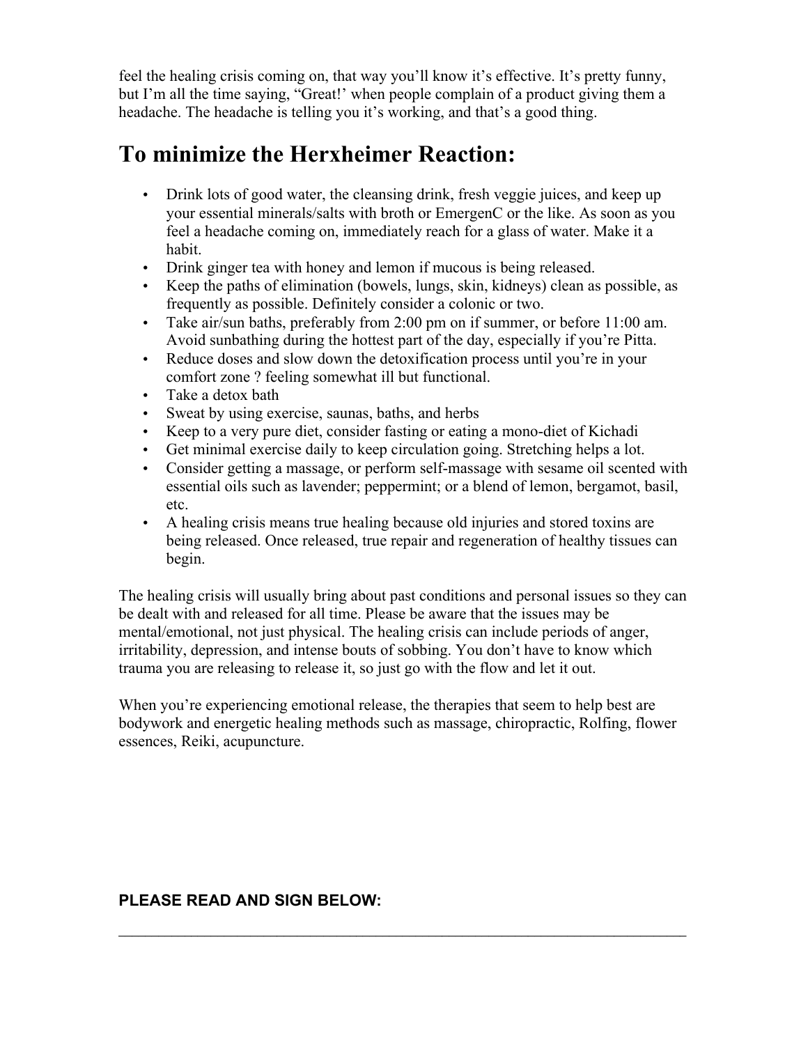feel the healing crisis coming on, that way you'll know it's effective. It's pretty funny, but I'm all the time saying, "Great!' when people complain of a product giving them a headache. The headache is telling you it's working, and that's a good thing.

### **To minimize the Herxheimer Reaction:**

- Drink lots of good water, the cleansing drink, fresh veggie juices, and keep up your essential minerals/salts with broth or EmergenC or the like. As soon as you feel a headache coming on, immediately reach for a glass of water. Make it a habit.
- Drink ginger tea with honey and lemon if mucous is being released.
- Keep the paths of elimination (bowels, lungs, skin, kidneys) clean as possible, as frequently as possible. Definitely consider a colonic or two.
- Take air/sun baths, preferably from 2:00 pm on if summer, or before 11:00 am. Avoid sunbathing during the hottest part of the day, especially if you're Pitta.
- Reduce doses and slow down the detoxification process until you're in your comfort zone ? feeling somewhat ill but functional.
- Take a detox bath
- Sweat by using exercise, saunas, baths, and herbs
- Keep to a very pure diet, consider fasting or eating a mono-diet of Kichadi
- Get minimal exercise daily to keep circulation going. Stretching helps a lot.
- Consider getting a massage, or perform self-massage with sesame oil scented with essential oils such as lavender; peppermint; or a blend of lemon, bergamot, basil, etc.
- A healing crisis means true healing because old injuries and stored toxins are being released. Once released, true repair and regeneration of healthy tissues can begin.

The healing crisis will usually bring about past conditions and personal issues so they can be dealt with and released for all time. Please be aware that the issues may be mental/emotional, not just physical. The healing crisis can include periods of anger, irritability, depression, and intense bouts of sobbing. You don't have to know which trauma you are releasing to release it, so just go with the flow and let it out.

When you're experiencing emotional release, the therapies that seem to help best are bodywork and energetic healing methods such as massage, chiropractic, Rolfing, flower essences, Reiki, acupuncture.

 $\mathcal{L}_\mathcal{L} = \mathcal{L}_\mathcal{L} = \mathcal{L}_\mathcal{L} = \mathcal{L}_\mathcal{L} = \mathcal{L}_\mathcal{L} = \mathcal{L}_\mathcal{L} = \mathcal{L}_\mathcal{L} = \mathcal{L}_\mathcal{L} = \mathcal{L}_\mathcal{L} = \mathcal{L}_\mathcal{L} = \mathcal{L}_\mathcal{L} = \mathcal{L}_\mathcal{L} = \mathcal{L}_\mathcal{L} = \mathcal{L}_\mathcal{L} = \mathcal{L}_\mathcal{L} = \mathcal{L}_\mathcal{L} = \mathcal{L}_\mathcal{L}$ 

### **PLEASE READ AND SIGN BELOW:**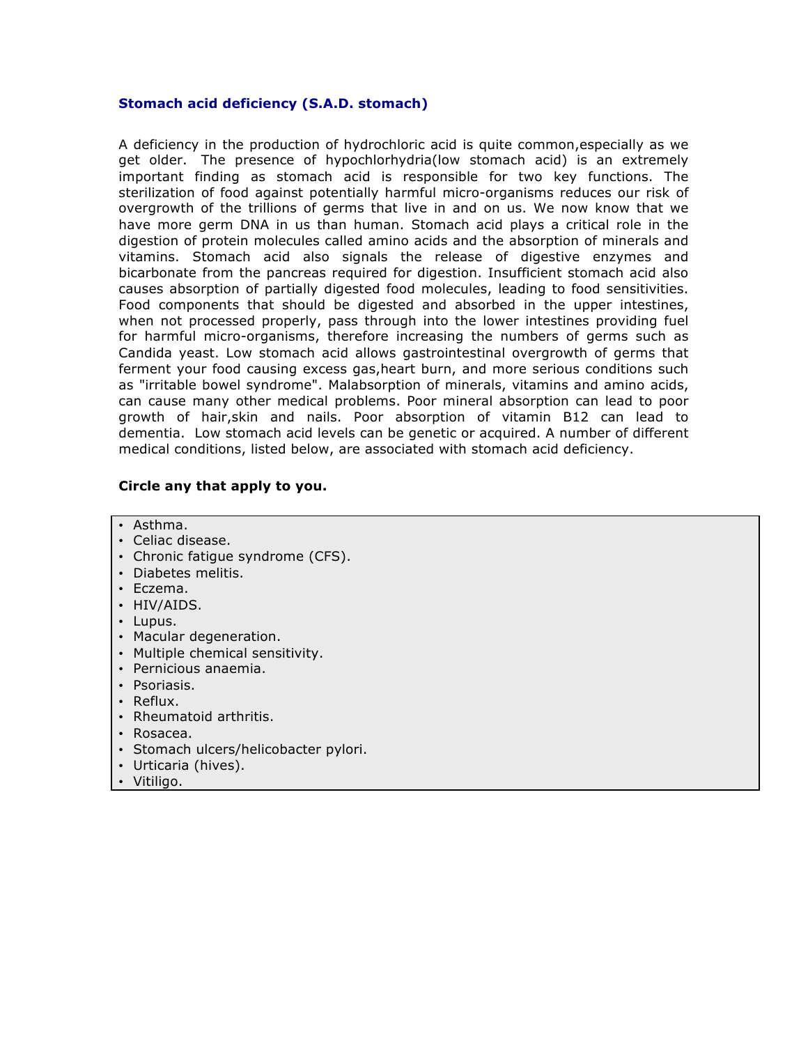#### **Stomach acid deficiency (S.A.D. stomach)**

A deficiency in the production of hydrochloric acid is quite common,especially as we get older. The presence of hypochlorhydria(low stomach acid) is an extremely important finding as stomach acid is responsible for two key functions. The sterilization of food against potentially harmful micro-organisms reduces our risk of overgrowth of the trillions of germs that live in and on us. We now know that we have more germ DNA in us than human. Stomach acid plays a critical role in the digestion of protein molecules called amino acids and the absorption of minerals and vitamins. Stomach acid also signals the release of digestive enzymes and bicarbonate from the pancreas required for digestion. Insufficient stomach acid also causes absorption of partially digested food molecules, leading to food sensitivities. Food components that should be digested and absorbed in the upper intestines, when not processed properly, pass through into the lower intestines providing fuel for harmful micro-organisms, therefore increasing the numbers of germs such as Candida yeast. Low stomach acid allows gastrointestinal overgrowth of germs that ferment your food causing excess gas,heart burn, and more serious conditions such as "irritable bowel syndrome". Malabsorption of minerals, vitamins and amino acids, can cause many other medical problems. Poor mineral absorption can lead to poor growth of hair,skin and nails. Poor absorption of vitamin B12 can lead to dementia. Low stomach acid levels can be genetic or acquired. A number of different medical conditions, listed below, are associated with stomach acid deficiency.

#### **Circle any that apply to you.**

- Asthma.
- Celiac disease.
- Chronic fatigue syndrome (CFS).
- Diabetes melitis.
- Eczema.
- HIV/AIDS.
- Lupus.
- Macular degeneration.
- Multiple chemical sensitivity.
- Pernicious anaemia.
- Psoriasis.
- Reflux.
- Rheumatoid arthritis.
- Rosacea.
- Stomach ulcers/helicobacter pylori.
- Urticaria (hives).
- Vitiligo.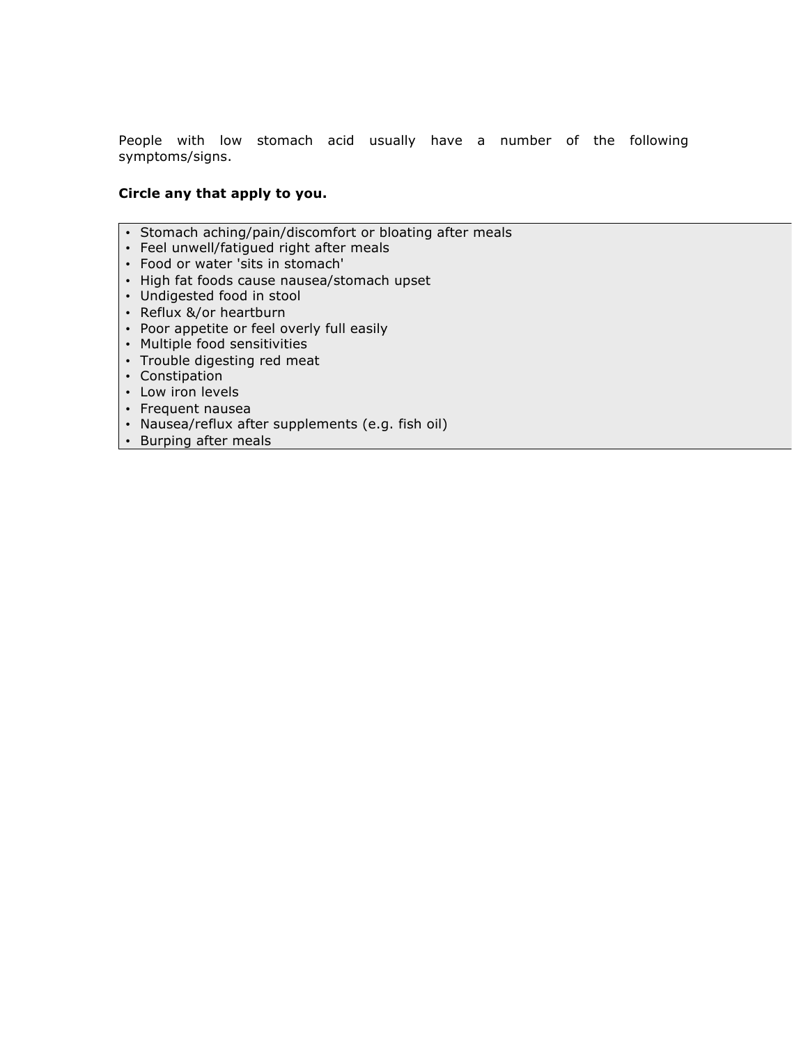People with low stomach acid usually have a number of the following symptoms/signs.

#### **Circle any that apply to you.**

- Stomach aching/pain/discomfort or bloating after meals
- Feel unwell/fatigued right after meals
- Food or water 'sits in stomach'
- High fat foods cause nausea/stomach upset
- Undigested food in stool
- Reflux &/or heartburn
- Poor appetite or feel overly full easily
- Multiple food sensitivities
- Trouble digesting red meat
- Constipation
- Low iron levels
- Frequent nausea
- Nausea/reflux after supplements (e.g. fish oil)
- Burping after meals